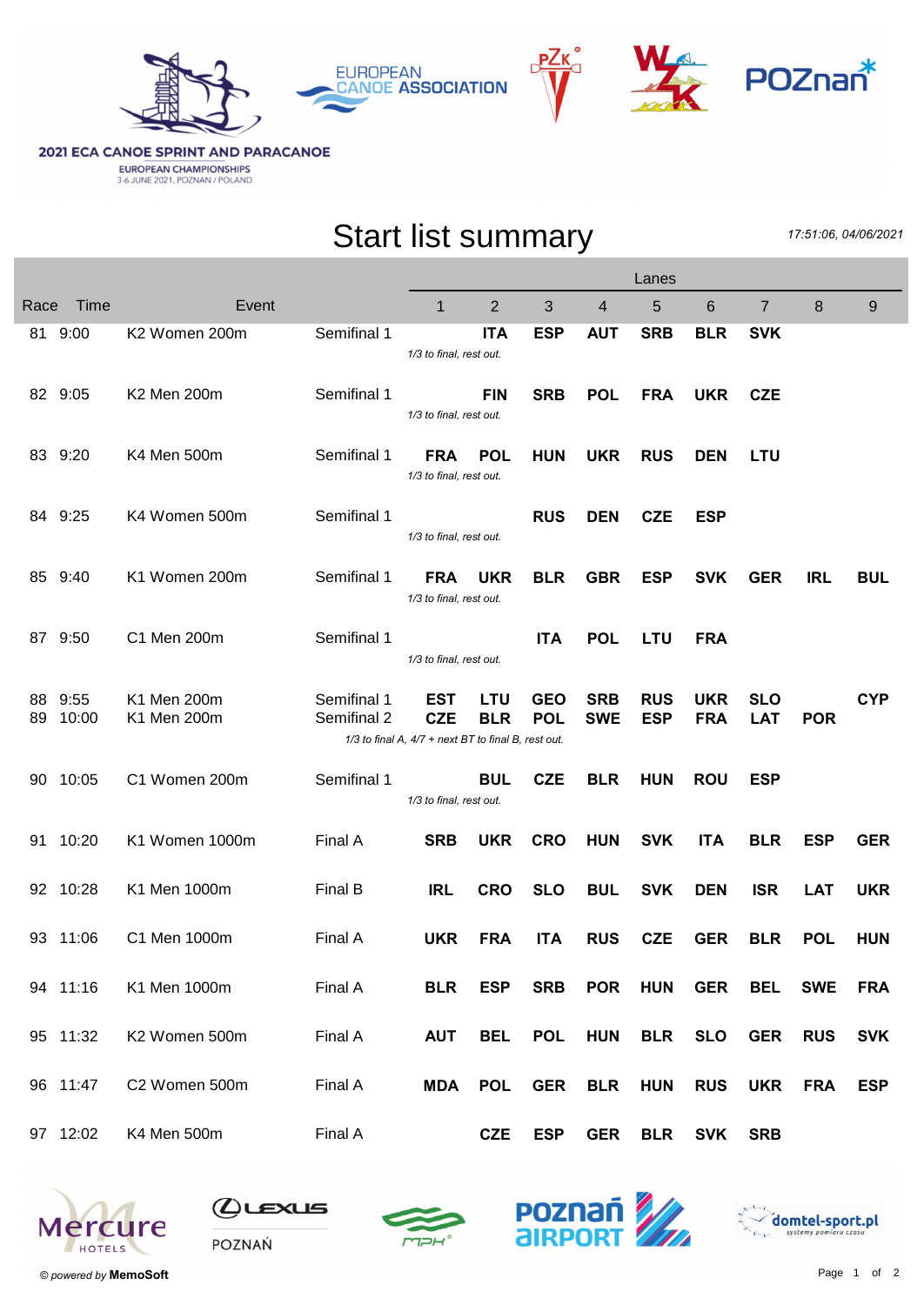



## **2021 ECA CANOE SPRINT AND PARACANOE EUROPEAN CHAMPIONSHIPS**<br>3-6 JUNE 2021, POZNAN / POLAND

## Start list summary

17:51:06, 04/06/2021

|      |                      |                              |                    | Lanes                                                             |                          |                          |                |            |                    |                          |            |            |
|------|----------------------|------------------------------|--------------------|-------------------------------------------------------------------|--------------------------|--------------------------|----------------|------------|--------------------|--------------------------|------------|------------|
| Race | Time                 | Event                        |                    | $\mathbf{1}$                                                      | $\overline{2}$           | 3                        | $\overline{4}$ | 5          | $6\phantom{1}$     | $\overline{7}$           | 8          | 9          |
|      | 81 9:00              | K2 Women 200m                | Semifinal 1        | 1/3 to final, rest out.                                           | <b>ITA</b>               | <b>ESP</b>               | <b>AUT</b>     | <b>SRB</b> | <b>BLR</b>         | <b>SVK</b>               |            |            |
|      | 82 9:05              | K2 Men 200m                  | Semifinal 1        | 1/3 to final, rest out.                                           | <b>FIN</b>               | <b>SRB</b>               | <b>POL</b>     | <b>FRA</b> | <b>UKR</b>         | <b>CZE</b>               |            |            |
|      | 83 9:20              | K4 Men 500m                  | Semifinal 1        | <b>FRA</b><br>1/3 to final, rest out.                             | <b>POL</b>               | <b>HUN</b>               | <b>UKR</b>     | <b>RUS</b> | <b>DEN</b>         | <b>LTU</b>               |            |            |
|      | 84 9:25              | K4 Women 500m                | Semifinal 1        | 1/3 to final, rest out.                                           |                          | <b>RUS</b>               | <b>DEN</b>     | <b>CZE</b> | <b>ESP</b>         |                          |            |            |
|      | 85 9:40              | K1 Women 200m                | Semifinal 1        | FRA<br>1/3 to final, rest out.                                    | <b>UKR</b>               | <b>BLR</b>               | <b>GBR</b>     | <b>ESP</b> | <b>SVK</b>         | <b>GER</b>               | <b>IRL</b> | <b>BUL</b> |
|      | 87 9:50              | C1 Men 200m                  | Semifinal 1        | 1/3 to final, rest out.                                           |                          | <b>ITA</b>               | <b>POL</b>     | <b>LTU</b> | <b>FRA</b>         |                          |            |            |
| 88   | 9:55                 | K1 Men 200m                  | Semifinal 1        | EST                                                               | <b>LTU</b>               | <b>GEO</b>               | <b>SRB</b>     | <b>RUS</b> | <b>UKR</b>         | <b>SLO</b>               |            | <b>CYP</b> |
| 89   | 10:00                | K1 Men 200m                  | Semifinal 2        | <b>CZE</b><br>1/3 to final A, 4/7 + next BT to final B, rest out. | <b>BLR</b>               | <b>POL</b>               | <b>SWE</b>     | <b>ESP</b> | <b>FRA</b>         | <b>LAT</b>               | <b>POR</b> |            |
| 90   | 10:05                | C1 Women 200m                | Semifinal 1        | 1/3 to final, rest out.                                           | <b>BUL</b>               | <b>CZE</b>               | <b>BLR</b>     | <b>HUN</b> | <b>ROU</b>         | <b>ESP</b>               |            |            |
| 91   | 10:20                | K1 Women 1000m               | Final A            | <b>SRB</b>                                                        | <b>UKR</b>               | <b>CRO</b>               | <b>HUN</b>     | <b>SVK</b> | <b>ITA</b>         | <b>BLR</b>               | <b>ESP</b> | <b>GER</b> |
|      | 92 10:28             | K1 Men 1000m                 | Final B            | <b>IRL</b>                                                        | <b>CRO</b>               | <b>SLO</b>               | <b>BUL</b>     | <b>SVK</b> | <b>DEN</b>         | <b>ISR</b>               | <b>LAT</b> | <b>UKR</b> |
|      | 93 11:06             | C1 Men 1000m                 | Final A            | <b>UKR</b>                                                        | <b>FRA</b>               | <b>ITA</b>               | <b>RUS</b>     | <b>CZE</b> | <b>GER</b>         | <b>BLR</b>               | <b>POL</b> | <b>HUN</b> |
|      | 94 11:16             | K1 Men 1000m                 | Final A            | <b>BLR</b>                                                        | <b>ESP</b>               | <b>SRB</b>               | <b>POR</b>     | <b>HUN</b> | <b>GER</b>         | <b>BEL</b>               | <b>SWE</b> | <b>FRA</b> |
|      | 95 11:32             | K2 Women 500m                | Final A            | <b>AUT</b>                                                        | <b>BEL</b>               | <b>POL</b>               | <b>HUN</b>     | <b>BLR</b> | <b>SLO</b>         | <b>GER</b>               | <b>RUS</b> | <b>SVK</b> |
|      | 96 11:47<br>97 12:02 | C2 Women 500m<br>K4 Men 500m | Final A<br>Final A | <b>MDA</b>                                                        | <b>POL</b><br><b>CZE</b> | <b>GER</b><br><b>ESP</b> | <b>BLR</b>     | <b>HUN</b> | <b>RUS</b>         | <b>UKR</b><br><b>SRB</b> | <b>FRA</b> | <b>ESP</b> |
|      |                      |                              |                    |                                                                   |                          |                          |                |            | <b>GER BLR SVK</b> |                          |            |            |